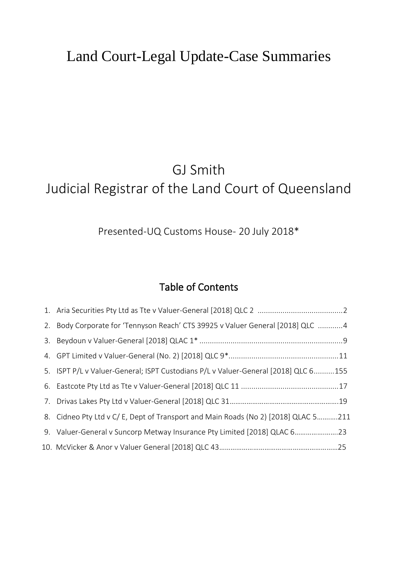# Land Court-Legal Update-Case Summaries

# GJ Smith Judicial Registrar of the Land Court of Queensland

# Presented-UQ Customs House- 20 July 2018\*

## Table of Contents

| 2. Body Corporate for 'Tennyson Reach' CTS 39925 v Valuer General [2018] QLC 4     |  |
|------------------------------------------------------------------------------------|--|
|                                                                                    |  |
|                                                                                    |  |
| 5. ISPT P/L v Valuer-General; ISPT Custodians P/L v Valuer-General [2018] QLC 6155 |  |
|                                                                                    |  |
|                                                                                    |  |
| 8. Cidneo Pty Ltd v C/ E, Dept of Transport and Main Roads (No 2) [2018] QLAC 5211 |  |
| 9. Valuer-General v Suncorp Metway Insurance Pty Limited [2018] QLAC 623           |  |
|                                                                                    |  |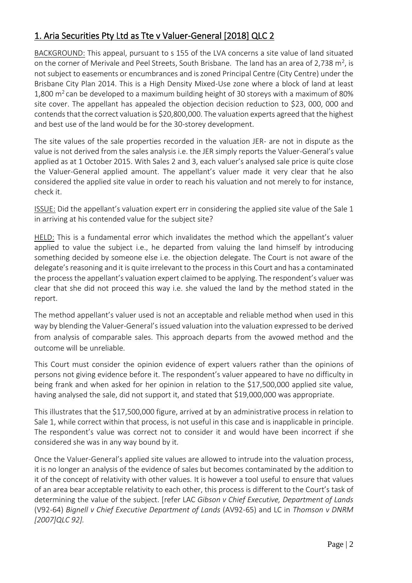### <span id="page-1-0"></span>1. Aria Securities Pty Ltd as Tte v Valuer-General [2018] QLC 2

BACKGROUND: This appeal, pursuant to s 155 of the LVA concerns a site value of land situated on the corner of Merivale and Peel Streets, South Brisbane. The land has an area of 2,738 m<sup>2</sup>, is not subject to easements or encumbrances and is zoned Principal Centre (City Centre) under the Brisbane City Plan 2014. This is a High Density Mixed-Use zone where a block of land at least 1,800 m<sup>2</sup> can be developed to a maximum building height of 30 storeys with a maximum of 80% site cover. The appellant has appealed the objection decision reduction to \$23, 000, 000 and contends that the correct valuation is \$20,800,000. The valuation experts agreed that the highest and best use of the land would be for the 30-storey development.

The site values of the sale properties recorded in the valuation JER- are not in dispute as the value is not derived from the sales analysis i.e. the JER simply reports the Valuer-General's value applied as at 1 October 2015. With Sales 2 and 3, each valuer's analysed sale price is quite close the Valuer-General applied amount. The appellant's valuer made it very clear that he also considered the applied site value in order to reach his valuation and not merely to for instance, check it.

ISSUE: Did the appellant's valuation expert err in considering the applied site value of the Sale 1 in arriving at his contended value for the subject site?

HELD: This is a fundamental error which invalidates the method which the appellant's valuer applied to value the subject i.e., he departed from valuing the land himself by introducing something decided by someone else i.e. the objection delegate. The Court is not aware of the delegate's reasoning and it is quite irrelevant to the process in this Court and has a contaminated the process the appellant's valuation expert claimed to be applying. The respondent's valuer was clear that she did not proceed this way i.e. she valued the land by the method stated in the report.

The method appellant's valuer used is not an acceptable and reliable method when used in this way by blending the Valuer-General's issued valuation into the valuation expressed to be derived from analysis of comparable sales. This approach departs from the avowed method and the outcome will be unreliable.

This Court must consider the opinion evidence of expert valuers rather than the opinions of persons not giving evidence before it. The respondent's valuer appeared to have no difficulty in being frank and when asked for her opinion in relation to the \$17,500,000 applied site value, having analysed the sale, did not support it, and stated that \$19,000,000 was appropriate.

This illustrates that the \$17,500,000 figure, arrived at by an administrative process in relation to Sale 1, while correct within that process, is not useful in this case and is inapplicable in principle. The respondent's value was correct not to consider it and would have been incorrect if she considered she was in any way bound by it.

Once the Valuer-General's applied site values are allowed to intrude into the valuation process, it is no longer an analysis of the evidence of sales but becomes contaminated by the addition to it of the concept of relativity with other values. It is however a tool useful to ensure that values of an area bear acceptable relativity to each other, this process is different to the Court's task of determining the value of the subject. [refer LAC *Gibson v Chief Executive, Department of Lands* (V92-64) *Bignell v Chief Executive Department of Lands* (AV92-65) and LC in *Thomson v DNRM [2007]QLC 92].*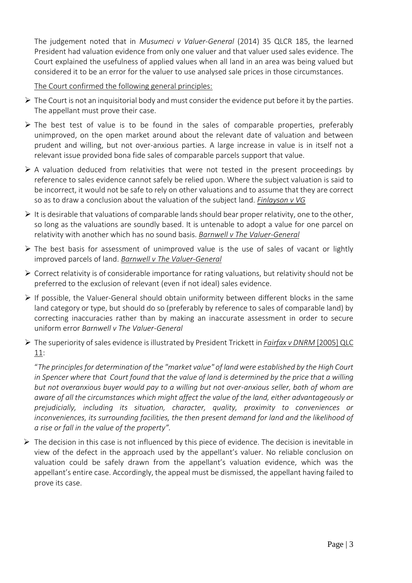The judgement noted that in *Musumeci v Valuer-General* (2014) 35 QLCR 185, the learned President had valuation evidence from only one valuer and that valuer used sales evidence. The Court explained the usefulness of applied values when all land in an area was being valued but considered it to be an error for the valuer to use analysed sale prices in those circumstances.

The Court confirmed the following general principles:

- $\triangleright$  The Court is not an inquisitorial body and must consider the evidence put before it by the parties. The appellant must prove their case.
- ➢ The best test of value is to be found in the sales of comparable properties, preferably unimproved, on the open market around about the relevant date of valuation and between prudent and willing, but not over-anxious parties. A large increase in value is in itself not a relevant issue provided bona fide sales of comparable parcels support that value.
- ➢ A valuation deduced from relativities that were not tested in the present proceedings by reference to sales evidence cannot safely be relied upon. Where the subject valuation is said to be incorrect, it would not be safe to rely on other valuations and to assume that they are correct so as to draw a conclusion about the valuation of the subject land. *Finlayson v VG*
- $\triangleright$  It is desirable that valuations of comparable lands should bear proper relativity, one to the other, so long as the valuations are soundly based. It is untenable to adopt a value for one parcel on relativity with another which has no sound basis. *Barnwell v The Valuer-General*
- ➢ The best basis for assessment of unimproved value is the use of sales of vacant or lightly improved parcels of land. *Barnwell v The Valuer-General*
- $\triangleright$  Correct relativity is of considerable importance for rating valuations, but relativity should not be preferred to the exclusion of relevant (even if not ideal) sales evidence.
- $\triangleright$  If possible, the Valuer-General should obtain uniformity between different blocks in the same land category or type, but should do so (preferably by reference to sales of comparable land) by correcting inaccuracies rather than by making an inaccurate assessment in order to secure uniform error *Barnwell v The Valuer-General*
- ➢ The superiority of sales evidence is illustrated by President Trickett in *Fairfax v DNRM* [2005] QLC 11:

"*The principles for determination of the "market value" of land were established by the High Court in Spencer where that Court found that the value of land is determined by the price that a willing but not overanxious buyer would pay to a willing but not over-anxious seller, both of whom are aware of all the circumstances which might affect the value of the land, either advantageously or prejudicially, including its situation, character, quality, proximity to conveniences or inconveniences, its surrounding facilities, the then present demand for land and the likelihood of a rise or fall in the value of the property".*

➢ The decision in this case is not influenced by this piece of evidence. The decision is inevitable in view of the defect in the approach used by the appellant's valuer. No reliable conclusion on valuation could be safely drawn from the appellant's valuation evidence, which was the appellant's entire case. Accordingly, the appeal must be dismissed, the appellant having failed to prove its case.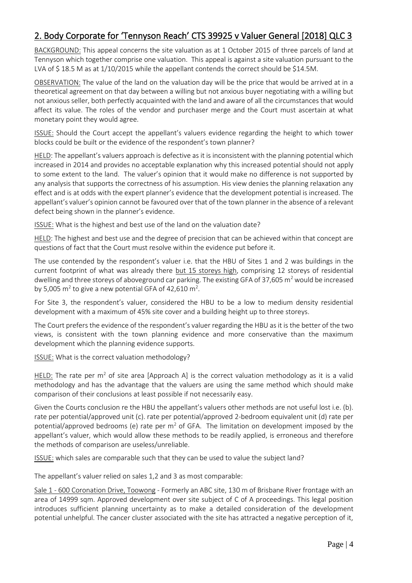### <span id="page-3-0"></span>2. Body Corporate for 'Tennyson Reach' CTS 39925 v Valuer General [2018] QLC 3

BACKGROUND: This appeal concerns the site valuation as at 1 October 2015 of three parcels of land at Tennyson which together comprise one valuation. This appeal is against a site valuation pursuant to the LVA of \$18.5 M as at 1/10/2015 while the appellant contends the correct should be \$14.5M.

OBSERVATION: The value of the land on the valuation day will be the price that would be arrived at in a theoretical agreement on that day between a willing but not anxious buyer negotiating with a willing but not anxious seller, both perfectly acquainted with the land and aware of all the circumstances that would affect its value. The roles of the vendor and purchaser merge and the Court must ascertain at what monetary point they would agree.

ISSUE: Should the Court accept the appellant's valuers evidence regarding the height to which tower blocks could be built or the evidence of the respondent's town planner?

HELD: The appellant's valuers approach is defective as it is inconsistent with the planning potential which increased in 2014 and provides no acceptable explanation why this increased potential should not apply to some extent to the land. The valuer's opinion that it would make no difference is not supported by any analysis that supports the correctness of his assumption. His view denies the planning relaxation any effect and is at odds with the expert planner's evidence that the development potential is increased. The appellant's valuer's opinion cannot be favoured over that of the town planner in the absence of a relevant defect being shown in the planner's evidence.

ISSUE: What is the highest and best use of the land on the valuation date?

HELD: The highest and best use and the degree of precision that can be achieved within that concept are questions of fact that the Court must resolve within the evidence put before it.

The use contended by the respondent's valuer i.e. that the HBU of Sites 1 and 2 was buildings in the current footprint of what was already there but 15 storeys high, comprising 12 storeys of residential dwelling and three storeys of aboveground car parking. The existing GFA of 37,605  $m<sup>2</sup>$  would be increased by 5,005 m<sup>2</sup> to give a new potential GFA of 42,610 m<sup>2</sup>.

For Site 3, the respondent's valuer, considered the HBU to be a low to medium density residential development with a maximum of 45% site cover and a building height up to three storeys.

The Court prefers the evidence of the respondent's valuer regarding the HBU as it is the better of the two views, is consistent with the town planning evidence and more conservative than the maximum development which the planning evidence supports.

ISSUE: What is the correct valuation methodology?

 $HELD$ : The rate per m<sup>2</sup> of site area [Approach A] is the correct valuation methodology as it is a valid methodology and has the advantage that the valuers are using the same method which should make comparison of their conclusions at least possible if not necessarily easy.

Given the Courts conclusion re the HBU the appellant's valuers other methods are not useful lost i.e. (b). rate per potential/approved unit (c). rate per potential/approved 2-bedroom equivalent unit (d) rate per potential/approved bedrooms (e) rate per  $m^2$  of GFA. The limitation on development imposed by the appellant's valuer, which would allow these methods to be readily applied, is erroneous and therefore the methods of comparison are useless/unreliable.

ISSUE: which sales are comparable such that they can be used to value the subject land?

The appellant's valuer relied on sales 1,2 and 3 as most comparable:

Sale 1 - 600 Coronation Drive, Toowong -Formerly an ABC site, 130 m of Brisbane River frontage with an area of 14999 sqm. Approved development over site subject of C of A proceedings. This legal position introduces sufficient planning uncertainty as to make a detailed consideration of the development potential unhelpful. The cancer cluster associated with the site has attracted a negative perception of it,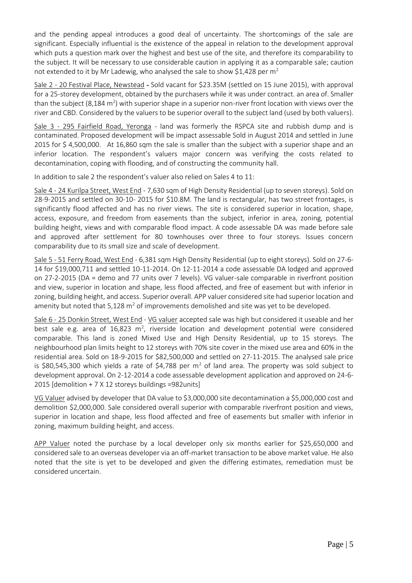and the pending appeal introduces a good deal of uncertainty. The shortcomings of the sale are significant. Especially influential is the existence of the appeal in relation to the development approval which puts a question mark over the highest and best use of the site, and therefore its comparability to the subject. It will be necessary to use considerable caution in applying it as a comparable sale; caution not extended to it by Mr Ladewig, who analysed the sale to show \$1,428 per  $\mathsf{m}^{2}$ 

Sale 2 - 20 Festival Place, Newstead *-* Sold vacant for \$23.35M (settled on 15 June 2015), with approval for a 25-storey development, obtained by the purchasers while it was under contract. an area of. Smaller than the subject (8,184 m<sup>2</sup>) with superior shape in a superior non-river front location with views over the river and CBD. Considered by the valuers to be superior overall to the subject land (used by both valuers).

Sale 3 - 295 Fairfield Road, Yeronga - land was formerly the RSPCA site and rubbish dump and is contaminated. Proposed development will be impact assessable Sold in August 2014 and settled in June 2015 for \$ 4,500,000. At 16,860 sqm the sale is smaller than the subject with a superior shape and an inferior location. The respondent's valuers major concern was verifying the costs related to decontamination, coping with flooding, and of constructing the community hall.

In addition to sale 2 the respondent's valuer also relied on Sales 4 to 11:

Sale 4 - 24 Kurilpa Street, West End - 7,630 sqm of High Density Residential (up to seven storeys). Sold on 28-9-2015 and settled on 30-10- 2015 for \$10.8M. The land is rectangular, has two street frontages, is significantly flood affected and has no river views. The site is considered superior in location, shape, access, exposure, and freedom from easements than the subject, inferior in area, zoning, potential building height, views and with comparable flood impact. A code assessable DA was made before sale and approved after settlement for 80 townhouses over three to four storeys. Issues concern comparability due to its small size and scale of development.

Sale 5 - 51 Ferry Road, West End - 6,381 sqm High Density Residential (up to eight storeys). Sold on 27-6- 14 for \$19,000,711 and settled 10-11-2014. On 12-11-2014 a code assessable DA lodged and approved on 27-2-2015 (DA = demo and 77 units over 7 levels). VG valuer-sale comparable in riverfront position and view, superior in location and shape, less flood affected, and free of easement but with inferior in zoning, building height, and access. Superior overall. APP valuer considered site had superior location and amenity but noted that 5,128  $m^2$  of improvements demolished and site was yet to be developed.

Sale 6 - 25 Donkin Street, West End - VG valuer accepted sale was high but considered it useable and her best sale e.g. area of  $16,823$  m<sup>2</sup>, riverside location and development potential were considered comparable. This land is zoned Mixed Use and High Density Residential, up to 15 storeys. The neighbourhood plan limits height to 12 storeys with 70% site cover in the mixed use area and 60% in the residential area. Sold on 18-9-2015 for \$82,500,000 and settled on 27-11-2015. The analysed sale price is \$80,545,300 which yields a rate of \$4,788 per  $m<sup>2</sup>$  of land area. The property was sold subject to development approval. On 2-12-2014 a code assessable development application and approved on 24-6- 2015 [demolition + 7 X 12 storeys buildings =982units]

VG Valuer advised by developer that DA value to \$3,000,000 site decontamination a \$5,000,000 cost and demolition \$2,000,000. Sale considered overall superior with comparable riverfront position and views, superior in location and shape, less flood affected and free of easements but smaller with inferior in zoning, maximum building height, and access.

APP Valuer noted the purchase by a local developer only six months earlier for \$25,650,000 and considered sale to an overseas developer via an off-market transaction to be above market value. He also noted that the site is yet to be developed and given the differing estimates, remediation must be considered uncertain.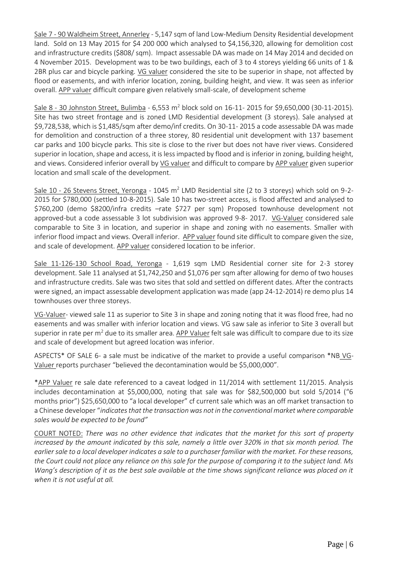Sale 7 - 90 Waldheim Street, Annerley - 5,147 sqm of land Low-Medium Density Residential development land. Sold on 13 May 2015 for \$4 200 000 which analysed to \$4,156,320, allowing for demolition cost and infrastructure credits (\$808/ sqm). Impact assessable DA was made on 14 May 2014 and decided on 4 November 2015. Development was to be two buildings, each of 3 to 4 storeys yielding 66 units of 1 & 2BR plus car and bicycle parking. VG valuer considered the site to be superior in shape, not affected by flood or easements, and with inferior location, zoning, building height, and view. It was seen as inferior overall. APP valuer difficult compare given relatively small-scale, of development scheme

Sale 8 - 30 Johnston Street, Bulimba - 6,553 m<sup>2</sup> block sold on 16-11- 2015 for \$9,650,000 (30-11-2015). Site has two street frontage and is zoned LMD Residential development (3 storeys). Sale analysed at \$9,728,538, which is \$1,485/sqm after demo/inf credits. On 30-11- 2015 a code assessable DA was made for demolition and construction of a three storey, 80 residential unit development with 137 basement car parks and 100 bicycle parks. This site is close to the river but does not have river views. Considered superior in location, shape and access, it is less impacted by flood and is inferior in zoning, building height, and views. Considered inferior overall by VG valuer and difficult to compare by APP valuer given superior location and small scale of the development.

Sale 10 - 26 Stevens Street, Yeronga - 1045 m<sup>2</sup> LMD Residential site (2 to 3 storeys) which sold on 9-2-2015 for \$780,000 (settled 10-8-2015). Sale 10 has two-street access, is flood affected and analysed to \$760,200 (demo \$8200/infra credits –rate \$727 per sqm) Proposed townhouse development not approved-but a code assessable 3 lot subdivision was approved 9-8- 2017. VG-Valuer considered sale comparable to Site 3 in location, and superior in shape and zoning with no easements. Smaller with inferior flood impact and views. Overall inferior. APP valuer found site difficult to compare given the size, and scale of development. APP valuer considered location to be inferior.

Sale 11-126-130 School Road, Yeronga - 1,619 sqm LMD Residential corner site for 2-3 storey development. Sale 11 analysed at \$1,742,250 and \$1,076 per sqm after allowing for demo of two houses and infrastructure credits. Sale was two sites that sold and settled on different dates. After the contracts were signed, an impact assessable development application was made (app 24-12-2014) re demo plus 14 townhouses over three storeys.

VG-Valuer- viewed sale 11 as superior to Site 3 in shape and zoning noting that it was flood free, had no easements and was smaller with inferior location and views. VG saw sale as inferior to Site 3 overall but superior in rate per  $m<sup>2</sup>$  due to its smaller area. APP Valuer felt sale was difficult to compare due to its size and scale of development but agreed location was inferior.

ASPECTS\* OF SALE 6- a sale must be indicative of the market to provide a useful comparison \*NB VG-Valuer reports purchaser "believed the decontamination would be \$5,000,000".

\*APP Valuer re sale date referenced to a caveat lodged in 11/2014 with settlement 11/2015. Analysis includes decontamination at \$5,000,000, noting that sale was for \$82,500,000 but sold 5/2014 ("6 months prior") \$25,650,000 to "a local developer" cf current sale which was an off market transaction to a Chinese developer "*indicates that the transaction was not in the conventional market where comparable sales would be expected to be found"*

COURT NOTED: *There was no other evidence that indicates that the market for this sort of property increased by the amount indicated by this sale, namely a little over 320% in that six month period. The earlier sale to a local developer indicates a sale to a purchaser familiar with the market. For these reasons, the Court could not place any reliance on this sale for the purpose of comparing it to the subject land. Ms Wang's description of it as the best sale available at the time shows significant reliance was placed on it when it is not useful at all.*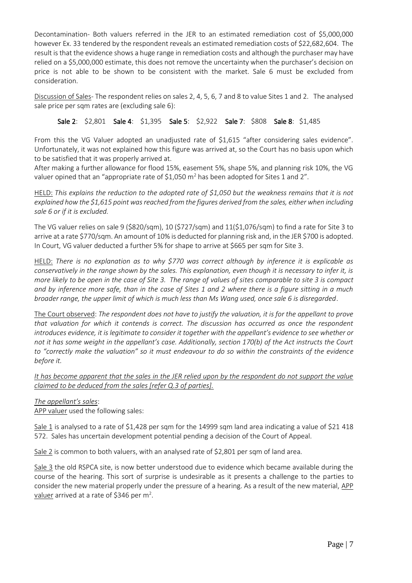Decontamination- Both valuers referred in the JER to an estimated remediation cost of \$5,000,000 however Ex. 33 tendered by the respondent reveals an estimated remediation costs of \$22,682,604. The result is that the evidence shows a huge range in remediation costs and although the purchaser may have relied on a \$5,000,000 estimate, this does not remove the uncertainty when the purchaser's decision on price is not able to be shown to be consistent with the market. Sale 6 must be excluded from consideration.

Discussion of Sales- The respondent relies on sales 2, 4, 5, 6, 7 and 8 to value Sites 1 and 2. The analysed sale price per sqm rates are (excluding sale 6):

### Sale 2: \$2,801 Sale 4: \$1,395 Sale 5: \$2,922 Sale 7: \$808 Sale 8: \$1,485

From this the VG Valuer adopted an unadjusted rate of \$1,615 "after considering sales evidence". Unfortunately, it was not explained how this figure was arrived at, so the Court has no basis upon which to be satisfied that it was properly arrived at.

After making a further allowance for flood 15%, easement 5%, shape 5%, and planning risk 10%, the VG valuer opined that an "appropriate rate of \$1,050 m<sup>2</sup> has been adopted for Sites 1 and 2".

HELD: *This explains the reduction to the adopted rate of \$1,050 but the weakness remains that it is not explained how the \$1,615 point was reached from the figures derived from the sales, either when including sale 6 or if it is excluded.*

The VG valuer relies on sale 9 (\$820/sqm), 10 (\$727/sqm) and 11(\$1,076/sqm) to find a rate for Site 3 to arrive at a rate \$770/sqm. An amount of 10% is deducted for planning risk and, in the JER \$700 is adopted. In Court, VG valuer deducted a further 5% for shape to arrive at \$665 per sqm for Site 3.

HELD: *There is no explanation as to why \$770 was correct although by inference it is explicable as conservatively in the range shown by the sales. This explanation, even though it is necessary to infer it, is more likely to be open in the case of Site 3. The range of values of sites comparable to site 3 is compact and by inference more safe, than in the case of Sites 1 and 2 where there is a figure sitting in a much broader range, the upper limit of which is much less than Ms Wang used, once sale 6 is disregarded*.

The Court observed: *The respondent does not have to justify the valuation, it is for the appellant to prove that valuation for which it contends is correct. The discussion has occurred as once the respondent introduces evidence, it is legitimate to consider it together with the appellant's evidence to see whether or not it has some weight in the appellant's case. Additionally, section 170(b) of the Act instructs the Court to "correctly make the valuation" so it must endeavour to do so within the constraints of the evidence before it.* 

### *It has become apparent that the sales in the JER relied upon by the respondent do not support the value claimed to be deduced from the sales [refer Q.3 of parties].*

### *The appellant's sales*:

APP valuer used the following sales:

Sale 1 is analysed to a rate of \$1,428 per sqm for the 14999 sqm land area indicating a value of \$21 418 572. Sales has uncertain development potential pending a decision of the Court of Appeal.

Sale 2 is common to both valuers, with an analysed rate of \$2,801 per sqm of land area.

Sale 3 the old RSPCA site, is now better understood due to evidence which became available during the course of the hearing. This sort of surprise is undesirable as it presents a challenge to the parties to consider the new material properly under the pressure of a hearing. As a result of the new material, APP valuer arrived at a rate of \$346 per m<sup>2</sup>.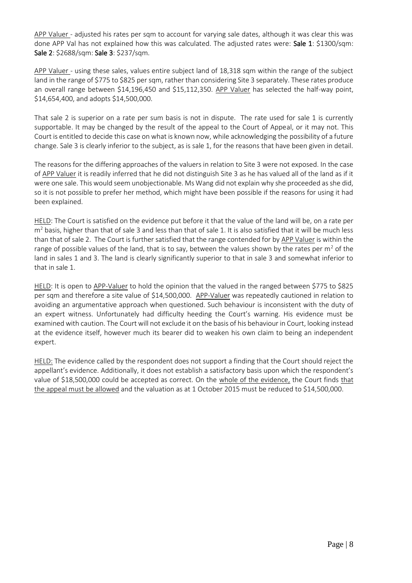APP Valuer - adjusted his rates per sqm to account for varying sale dates, although it was clear this was done APP Val has not explained how this was calculated. The adjusted rates were: Sale 1: \$1300/sqm: Sale 2: \$2688/sqm: Sale 3: \$237/sqm.

APP Valuer - using these sales, values entire subject land of 18,318 sqm within the range of the subject land in the range of \$775 to \$825 per sqm, rather than considering Site 3 separately. These rates produce an overall range between \$14,196,450 and \$15,112,350. APP Valuer has selected the half-way point, \$14,654,400, and adopts \$14,500,000.

That sale 2 is superior on a rate per sum basis is not in dispute. The rate used for sale 1 is currently supportable. It may be changed by the result of the appeal to the Court of Appeal, or it may not. This Court is entitled to decide this case on what is known now, while acknowledging the possibility of a future change. Sale 3 is clearly inferior to the subject, as is sale 1, for the reasons that have been given in detail.

The reasons for the differing approaches of the valuers in relation to Site 3 were not exposed. In the case of APP Valuer it is readily inferred that he did not distinguish Site 3 as he has valued all of the land as if it were one sale. This would seem unobjectionable. Ms Wang did not explain why she proceeded as she did, so it is not possible to prefer her method, which might have been possible if the reasons for using it had been explained.

HELD: The Court is satisfied on the evidence put before it that the value of the land will be, on a rate per  $m<sup>2</sup>$  basis, higher than that of sale 3 and less than that of sale 1. It is also satisfied that it will be much less than that of sale 2. The Court is further satisfied that the range contended for by APP Valuer is within the range of possible values of the land, that is to say, between the values shown by the rates per  $m^2$  of the land in sales 1 and 3. The land is clearly significantly superior to that in sale 3 and somewhat inferior to that in sale 1.

HELD: It is open to APP-Valuer to hold the opinion that the valued in the ranged between \$775 to \$825 per sqm and therefore a site value of \$14,500,000. APP-Valuer was repeatedly cautioned in relation to avoiding an argumentative approach when questioned. Such behaviour is inconsistent with the duty of an expert witness. Unfortunately had difficulty heeding the Court's warning. His evidence must be examined with caution. The Court will not exclude it on the basis of his behaviour in Court, looking instead at the evidence itself, however much its bearer did to weaken his own claim to being an independent expert.

HELD: The evidence called by the respondent does not support a finding that the Court should reject the appellant's evidence. Additionally, it does not establish a satisfactory basis upon which the respondent's value of \$18,500,000 could be accepted as correct. On the whole of the evidence, the Court finds that the appeal must be allowed and the valuation as at 1 October 2015 must be reduced to \$14,500,000.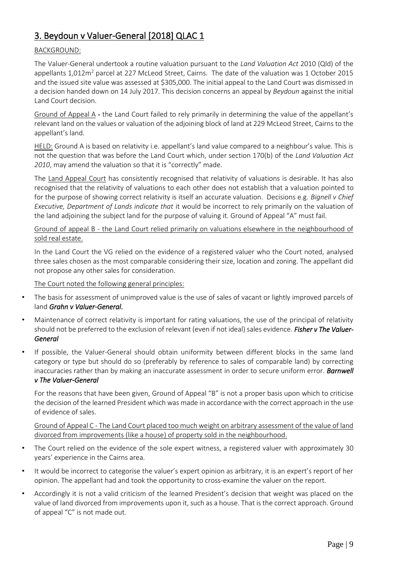### <span id="page-8-0"></span>3. Beydoun v Valuer-General [2018] QLAC 1

#### BACKGROUND:

The Valuer-General undertook a routine valuation pursuant to the *Land Valuation Act* 2010 (Qld) of the appellants 1,012m<sup>2</sup> parcel at 227 McLeod Street, Cairns. The date of the valuation was 1 October 2015 and the issued site value was assessed at \$305,000. The initial appeal to the Land Court was dismissed in a decision handed down on 14 July 2017. This decision concerns an appeal by *Beydoun* against the initial Land Court decision.

Ground of Appeal A - the Land Court failed to rely primarily in determining the value of the appellant's relevant land on the values or valuation of the adjoining block of land at 229 McLeod Street, Cairns to the appellant's land.

HELD: Ground A is based on relativity i.e. appellant's land value compared to a neighbour's value. This is not the question that was before the Land Court which, under section 170(b) of the *Land Valuation Act 2010*, may amend the valuation so that it is "correctly" made.

The Land Appeal Court has consistently recognised that relativity of valuations is desirable. It has also recognised that the relativity of valuations to each other does not establish that a valuation pointed to for the purpose of showing correct relativity is itself an accurate valuation. Decisions e.g. *Bignell v Chief Executive, Department of Lands indicate that* it would be incorrect to rely primarily on the valuation of the land adjoining the subject land for the purpose of valuing it. Ground of Appeal "A" must fail.

#### Ground of appeal B - the Land Court relied primarily on valuations elsewhere in the neighbourhood of sold real estate.

In the Land Court the VG relied on the evidence of a registered valuer who the Court noted, analysed three sales chosen as the most comparable considering their size, location and zoning. The appellant did not propose any other sales for consideration.

The Court noted the following general principles:

- The basis for assessment of unimproved value is the use of sales of vacant or lightly improved parcels of land *Grahn v Valuer-General*.
- Maintenance of correct relativity is important for rating valuations, the use of the principal of relativity should not be preferred to the exclusion of relevant (even if not ideal) sales evidence. *Fisher v The Valuer-General*
- If possible, the Valuer-General should obtain uniformity between different blocks in the same land category or type but should do so (preferably by reference to sales of comparable land) by correcting inaccuracies rather than by making an inaccurate assessment in order to secure uniform error. *Barnwell v The Valuer-General*

For the reasons that have been given, Ground of Appeal "B" is not a proper basis upon which to criticise the decision of the learned President which was made in accordance with the correct approach in the use of evidence of sales.

Ground of Appeal C - The Land Court placed too much weight on arbitrary assessment of the value of land divorced from improvements (like a house) of property sold in the neighbourhood.

- The Court relied on the evidence of the sole expert witness, a registered valuer with approximately 30 years' experience in the Cairns area.
- It would be incorrect to categorise the valuer's expert opinion as arbitrary, it is an expert's report of her opinion. The appellant had and took the opportunity to cross-examine the valuer on the report.
- Accordingly it is not a valid criticism of the learned President's decision that weight was placed on the value of land divorced from improvements upon it, such as a house. That is the correct approach. Ground of appeal "C" is not made out.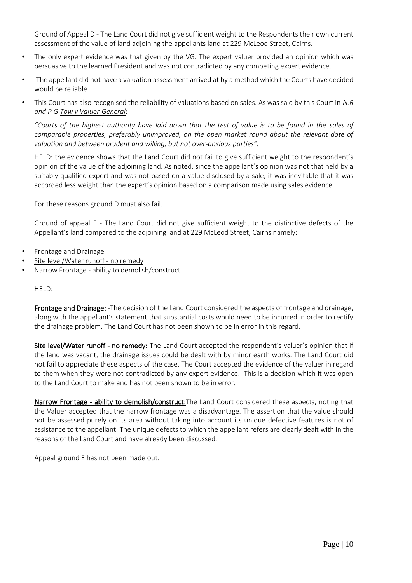Ground of Appeal D - The Land Court did not give sufficient weight to the Respondents their own current assessment of the value of land adjoining the appellants land at 229 McLeod Street, Cairns.

- The only expert evidence was that given by the VG. The expert valuer provided an opinion which was persuasive to the learned President and was not contradicted by any competing expert evidence.
- The appellant did not have a valuation assessment arrived at by a method which the Courts have decided would be reliable.
- This Court has also recognised the reliability of valuations based on sales. As was said by this Court in *N.R and P.G Tow v Valuer-General*:

*"Courts of the highest authority have laid down that the test of value is to be found in the sales of comparable properties, preferably unimproved, on the open market round about the relevant date of valuation and between prudent and willing, but not over-anxious parties".*

HELD: the evidence shows that the Land Court did not fail to give sufficient weight to the respondent's opinion of the value of the adjoining land. As noted, since the appellant's opinion was not that held by a suitably qualified expert and was not based on a value disclosed by a sale, it was inevitable that it was accorded less weight than the expert's opinion based on a comparison made using sales evidence.

For these reasons ground D must also fail.

Ground of appeal E - The Land Court did not give sufficient weight to the distinctive defects of the Appellant's land compared to the adjoining land at 229 McLeod Street, Cairns namely:

- Frontage and Drainage
- Site level/Water runoff no remedy
- Narrow Frontage ability to demolish/construct

#### HELD:

Frontage and Drainage: -The decision of the Land Court considered the aspects of frontage and drainage, along with the appellant's statement that substantial costs would need to be incurred in order to rectify the drainage problem. The Land Court has not been shown to be in error in this regard.

Site level/Water runoff - no remedy: The Land Court accepted the respondent's valuer's opinion that if the land was vacant, the drainage issues could be dealt with by minor earth works. The Land Court did not fail to appreciate these aspects of the case. The Court accepted the evidence of the valuer in regard to them when they were not contradicted by any expert evidence. This is a decision which it was open to the Land Court to make and has not been shown to be in error.

Narrow Frontage - ability to demolish/construct: The Land Court considered these aspects, noting that the Valuer accepted that the narrow frontage was a disadvantage. The assertion that the value should not be assessed purely on its area without taking into account its unique defective features is not of assistance to the appellant. The unique defects to which the appellant refers are clearly dealt with in the reasons of the Land Court and have already been discussed.

Appeal ground E has not been made out.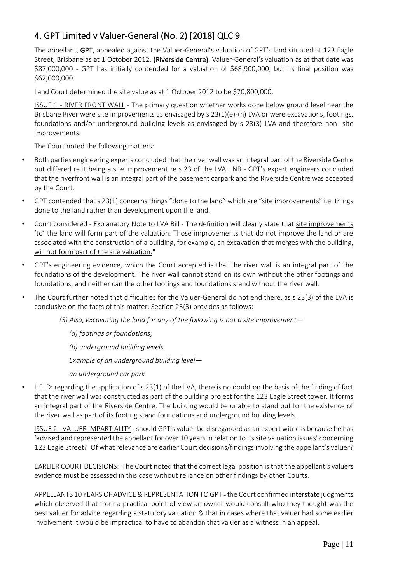### <span id="page-10-0"></span>4. GPT Limited v Valuer-General (No. 2) [2018] QLC 9

The appellant, GPT, appealed against the Valuer-General's valuation of GPT's land situated at 123 Eagle Street, Brisbane as at 1 October 2012. (Riverside Centre). Valuer-General's valuation as at that date was \$87,000,000 - GPT has initially contended for a valuation of \$68,900,000, but its final position was \$62,000,000.

Land Court determined the site value as at 1 October 2012 to be \$70,800,000.

ISSUE 1 - RIVER FRONT WALL - The primary question whether works done below ground level near the Brisbane River were site improvements as envisaged by s  $23(1)(e)$ -(h) LVA or were excavations, footings, foundations and/or underground building levels as envisaged by s 23(3) LVA and therefore non- site improvements.

The Court noted the following matters:

- Both parties engineering experts concluded that the river wall was an integral part of the Riverside Centre but differed re it being a site improvement re s 23 of the LVA. NB - GPT's expert engineers concluded that the riverfront wall is an integral part of the basement carpark and the Riverside Centre was accepted by the Court.
- GPT contended that s 23(1) concerns things "done to the land" which are "site improvements" i.e. things done to the land rather than development upon the land.
- Court considered Explanatory Note to LVA Bill The definition will clearly state that site improvements 'to' the land will form part of the valuation. Those improvements that do not improve the land or are associated with the construction of a building, for example, an excavation that merges with the building, will not form part of the site valuation."
- GPT's engineering evidence, which the Court accepted is that the river wall is an integral part of the foundations of the development. The river wall cannot stand on its own without the other footings and foundations, and neither can the other footings and foundations stand without the river wall.
- The Court further noted that difficulties for the Valuer-General do not end there, as s 23(3) of the LVA is conclusive on the facts of this matter. Section 23(3) provides as follows:

*(3) Also, excavating the land for any of the following is not a site improvement—*

*(a) footings or foundations;* 

*(b) underground building levels.* 

*Example of an underground building level—*

*an underground car park*

• HELD: regarding the application of s 23(1) of the LVA, there is no doubt on the basis of the finding of fact that the river wall was constructed as part of the building project for the 123 Eagle Street tower. It forms an integral part of the Riverside Centre. The building would be unable to stand but for the existence of the river wall as part of its footing stand foundations and underground building levels.

ISSUE 2 - VALUER IMPARTIALITY - should GPT's valuer be disregarded as an expert witness because he has 'advised and represented the appellant for over 10 years in relation to its site valuation issues' concerning 123 Eagle Street? Of what relevance are earlier Court decisions/findings involving the appellant's valuer?

EARLIER COURT DECISIONS: The Court noted that the correct legal position is that the appellant's valuers evidence must be assessed in this case without reliance on other findings by other Courts.

APPELLANTS 10 YEARS OF ADVICE & REPRESENTATION TO GPT - the Court confirmed interstate judgments which observed that from a practical point of view an owner would consult who they thought was the best valuer for advice regarding a statutory valuation & that in cases where that valuer had some earlier involvement it would be impractical to have to abandon that valuer as a witness in an appeal.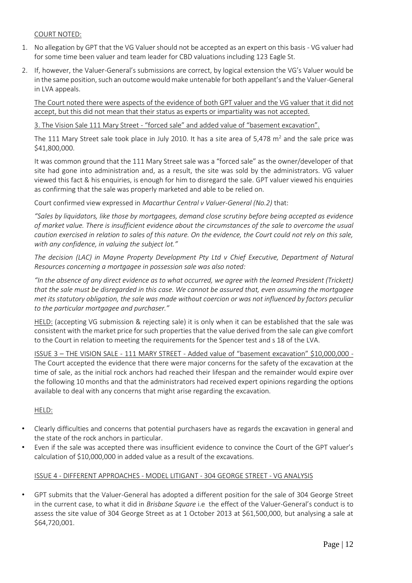#### COURT NOTED:

- 1. No allegation by GPT that the VG Valuer should not be accepted as an expert on this basis VG valuer had for some time been valuer and team leader for CBD valuations including 123 Eagle St.
- 2. If, however, the Valuer-General's submissions are correct, by logical extension the VG's Valuer would be in the same position, such an outcome would make untenable for both appellant's and the Valuer-General in LVA appeals.

The Court noted there were aspects of the evidence of both GPT valuer and the VG valuer that it did not accept, but this did not mean that their status as experts or impartiality was not accepted.

3. The Vision Sale 111 Mary Street - "forced sale" and added value of "basement excavation".

The 111 Mary Street sale took place in July 2010. It has a site area of 5,478  $\text{m}^2$  and the sale price was \$41,800,000.

It was common ground that the 111 Mary Street sale was a "forced sale" as the owner/developer of that site had gone into administration and, as a result, the site was sold by the administrators. VG valuer viewed this fact & his enquiries, is enough for him to disregard the sale. GPT valuer viewed his enquiries as confirming that the sale was properly marketed and able to be relied on.

Court confirmed view expressed in *Macarthur Central v Valuer-General (No.2)* that:

*"Sales by liquidators, like those by mortgagees, demand close scrutiny before being accepted as evidence of market value. There is insufficient evidence about the circumstances of the sale to overcome the usual caution exercised in relation to sales of this nature. On the evidence, the Court could not rely on this sale, with any confidence, in valuing the subject lot."*

*The decision (LAC) in Mayne Property Development Pty Ltd v Chief Executive, Department of Natural Resources concerning a mortgagee in possession sale was also noted:*

*"In the absence of any direct evidence as to what occurred, we agree with the learned President (Trickett) that the sale must be disregarded in this case. We cannot be assured that, even assuming the mortgagee met its statutory obligation, the sale was made without coercion or was not influenced by factors peculiar to the particular mortgagee and purchaser."*

HELD: (accepting VG submission & rejecting sale) it is only when it can be established that the sale was consistent with the market price for such properties that the value derived from the sale can give comfort to the Court in relation to meeting the requirements for the Spencer test and s 18 of the LVA.

ISSUE 3 – THE VISION SALE - 111 MARY STREET - Added value of "basement excavation" \$10,000,000 - The Court accepted the evidence that there were major concerns for the safety of the excavation at the time of sale, as the initial rock anchors had reached their lifespan and the remainder would expire over the following 10 months and that the administrators had received expert opinions regarding the options available to deal with any concerns that might arise regarding the excavation.

#### HELD:

- Clearly difficulties and concerns that potential purchasers have as regards the excavation in general and the state of the rock anchors in particular.
- Even if the sale was accepted there was insufficient evidence to convince the Court of the GPT valuer's calculation of \$10,000,000 in added value as a result of the excavations.

### ISSUE 4 - DIFFERENT APPROACHES - MODEL LITIGANT - 304 GEORGE STREET - VG ANALYSIS

• GPT submits that the Valuer-General has adopted a different position for the sale of 304 George Street in the current case, to what it did in *Brisbane Square* i.e the effect of the Valuer-General's conduct is to assess the site value of 304 George Street as at 1 October 2013 at \$61,500,000, but analysing a sale at \$64,720,001.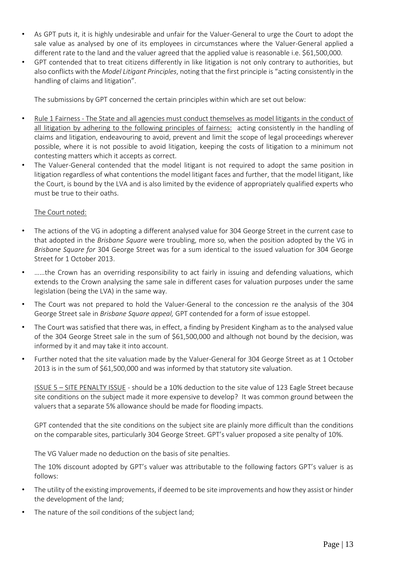- As GPT puts it, it is highly undesirable and unfair for the Valuer-General to urge the Court to adopt the sale value as analysed by one of its employees in circumstances where the Valuer-General applied a different rate to the land and the valuer agreed that the applied value is reasonable i.e. \$61,500,000.
- GPT contended that to treat citizens differently in like litigation is not only contrary to authorities, but also conflicts with the *Model Litigant Principles*, noting that the first principle is "acting consistently in the handling of claims and litigation".

The submissions by GPT concerned the certain principles within which are set out below:

- Rule 1 Fairness The State and all agencies must conduct themselves as model litigants in the conduct of all litigation by adhering to the following principles of fairness: acting consistently in the handling of claims and litigation, endeavouring to avoid, prevent and limit the scope of legal proceedings wherever possible, where it is not possible to avoid litigation, keeping the costs of litigation to a minimum not contesting matters which it accepts as correct.
- The Valuer-General contended that the model litigant is not required to adopt the same position in litigation regardless of what contentions the model litigant faces and further, that the model litigant, like the Court, is bound by the LVA and is also limited by the evidence of appropriately qualified experts who must be true to their oaths.

### The Court noted:

- The actions of the VG in adopting a different analysed value for 304 George Street in the current case to that adopted in the *Brisbane Square* were troubling, more so, when the position adopted by the VG in *Brisbane Square for* 304 George Street was for a sum identical to the issued valuation for 304 George Street for 1 October 2013.
- ……the Crown has an overriding responsibility to act fairly in issuing and defending valuations, which extends to the Crown analysing the same sale in different cases for valuation purposes under the same legislation (being the LVA) in the same way.
- The Court was not prepared to hold the Valuer-General to the concession re the analysis of the 304 George Street sale in *Brisbane Square appeal,* GPT contended for a form of issue estoppel.
- The Court was satisfied that there was, in effect, a finding by President Kingham as to the analysed value of the 304 George Street sale in the sum of \$61,500,000 and although not bound by the decision, was informed by it and may take it into account.
- Further noted that the site valuation made by the Valuer-General for 304 George Street as at 1 October 2013 is in the sum of \$61,500,000 and was informed by that statutory site valuation.

ISSUE 5 – SITE PENALTY ISSUE - should be a 10% deduction to the site value of 123 Eagle Street because site conditions on the subject made it more expensive to develop? It was common ground between the valuers that a separate 5% allowance should be made for flooding impacts.

GPT contended that the site conditions on the subject site are plainly more difficult than the conditions on the comparable sites, particularly 304 George Street. GPT's valuer proposed a site penalty of 10%.

The VG Valuer made no deduction on the basis of site penalties.

The 10% discount adopted by GPT's valuer was attributable to the following factors GPT's valuer is as follows:

- The utility of the existing improvements, if deemed to be site improvements and how they assist or hinder the development of the land;
- The nature of the soil conditions of the subject land;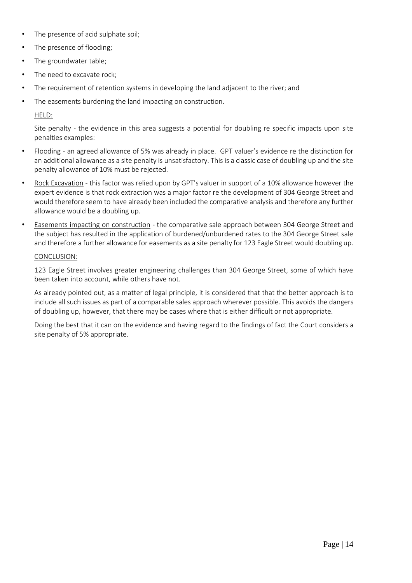- The presence of acid sulphate soil;
- The presence of flooding;
- The groundwater table;
- The need to excavate rock;
- The requirement of retention systems in developing the land adjacent to the river; and
- The easements burdening the land impacting on construction.

#### HELD:

Site penalty - the evidence in this area suggests a potential for doubling re specific impacts upon site penalties examples:

- Flooding an agreed allowance of 5% was already in place. GPT valuer's evidence re the distinction for an additional allowance as a site penalty is unsatisfactory. This is a classic case of doubling up and the site penalty allowance of 10% must be rejected.
- Rock Excavation this factor was relied upon by GPT's valuer in support of a 10% allowance however the expert evidence is that rock extraction was a major factor re the development of 304 George Street and would therefore seem to have already been included the comparative analysis and therefore any further allowance would be a doubling up.
- Easements impacting on construction the comparative sale approach between 304 George Street and the subject has resulted in the application of burdened/unburdened rates to the 304 George Street sale and therefore a further allowance for easements as a site penalty for 123 Eagle Street would doubling up.

#### CONCLUSION:

123 Eagle Street involves greater engineering challenges than 304 George Street, some of which have been taken into account, while others have not.

As already pointed out, as a matter of legal principle, it is considered that that the better approach is to include all such issues as part of a comparable sales approach wherever possible. This avoids the dangers of doubling up, however, that there may be cases where that is either difficult or not appropriate.

Doing the best that it can on the evidence and having regard to the findings of fact the Court considers a site penalty of 5% appropriate.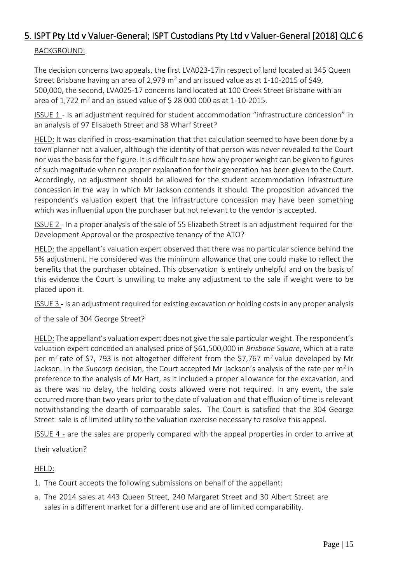### <span id="page-14-0"></span>5. ISPT Pty Ltd v Valuer-General; ISPT Custodians Pty Ltd v Valuer-General [2018] QLC 6

### BACKGROUND:

The decision concerns two appeals, the first LVA023-17in respect of land located at 345 Queen Street Brisbane having an area of 2,979  $m<sup>2</sup>$  and an issued value as at 1-10-2015 of \$49, 500,000, the second, LVA025-17 concerns land located at 100 Creek Street Brisbane with an area of 1,722  $m^2$  and an issued value of \$ 28 000 000 as at 1-10-2015.

ISSUE 1 - Is an adjustment required for student accommodation "infrastructure concession" in an analysis of 97 Elisabeth Street and 38 Wharf Street?

HELD: It was clarified in cross-examination that that calculation seemed to have been done by a town planner not a valuer, although the identity of that person was never revealed to the Court nor was the basis for the figure. It is difficult to see how any proper weight can be given to figures of such magnitude when no proper explanation for their generation has been given to the Court. Accordingly, no adjustment should be allowed for the student accommodation infrastructure concession in the way in which Mr Jackson contends it should. The proposition advanced the respondent's valuation expert that the infrastructure concession may have been something which was influential upon the purchaser but not relevant to the vendor is accepted.

ISSUE 2 - In a proper analysis of the sale of 55 Elizabeth Street is an adjustment required for the Development Approval or the prospective tenancy of the ATO?

HELD: the appellant's valuation expert observed that there was no particular science behind the 5% adjustment. He considered was the minimum allowance that one could make to reflect the benefits that the purchaser obtained. This observation is entirely unhelpful and on the basis of this evidence the Court is unwilling to make any adjustment to the sale if weight were to be placed upon it.

ISSUE 3 - Is an adjustment required for existing excavation or holding costs in any proper analysis

### of the sale of 304 George Street?

HELD: The appellant's valuation expert does not give the sale particular weight. The respondent's valuation expert conceded an analysed price of \$61,500,000 in *Brisbane Square*, which at a rate per m<sup>2</sup> rate of \$7, 793 is not altogether different from the \$7,767 m<sup>2</sup> value developed by Mr Jackson. In the *Suncorp* decision, the Court accepted Mr Jackson's analysis of the rate per m<sup>2</sup> in preference to the analysis of Mr Hart, as it included a proper allowance for the excavation, and as there was no delay, the holding costs allowed were not required. In any event, the sale occurred more than two years prior to the date of valuation and that effluxion of time is relevant notwithstanding the dearth of comparable sales. The Court is satisfied that the 304 George Street sale is of limited utility to the valuation exercise necessary to resolve this appeal.

ISSUE 4 - are the sales are properly compared with the appeal properties in order to arrive at

their valuation?

HELD:

- 1. The Court accepts the following submissions on behalf of the appellant:
- a. The 2014 sales at 443 Queen Street, 240 Margaret Street and 30 Albert Street are sales in a different market for a different use and are of limited comparability.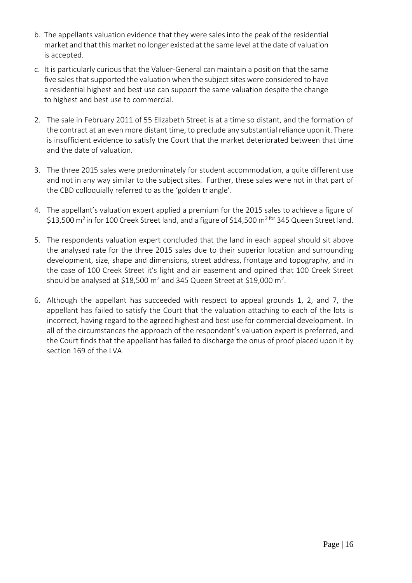- b. The appellants valuation evidence that they were sales into the peak of the residential market and that this market no longer existed at the same level at the date of valuation is accepted.
- c. It is particularly curious that the Valuer-General can maintain a position that the same five sales that supported the valuation when the subject sites were considered to have a residential highest and best use can support the same valuation despite the change to highest and best use to commercial.
- 2. The sale in February 2011 of 55 Elizabeth Street is at a time so distant, and the formation of the contract at an even more distant time, to preclude any substantial reliance upon it. There is insufficient evidence to satisfy the Court that the market deteriorated between that time and the date of valuation.
- 3. The three 2015 sales were predominately for student accommodation, a quite different use and not in any way similar to the subject sites. Further, these sales were not in that part of the CBD colloquially referred to as the 'golden triangle'.
- 4. The appellant's valuation expert applied a premium for the 2015 sales to achieve a figure of \$13,500  $\text{m}^2$  in for 100 Creek Street land, and a figure of \$14,500  $\text{m}^2$  for 345 Queen Street land.
- 5. The respondents valuation expert concluded that the land in each appeal should sit above the analysed rate for the three 2015 sales due to their superior location and surrounding development, size, shape and dimensions, street address, frontage and topography, and in the case of 100 Creek Street it's light and air easement and opined that 100 Creek Street should be analysed at \$18,500 m<sup>2</sup> and 345 Queen Street at \$19,000 m<sup>2</sup>.
- 6. Although the appellant has succeeded with respect to appeal grounds 1, 2, and 7, the appellant has failed to satisfy the Court that the valuation attaching to each of the lots is incorrect, having regard to the agreed highest and best use for commercial development. In all of the circumstances the approach of the respondent's valuation expert is preferred, and the Court finds that the appellant has failed to discharge the onus of proof placed upon it by section 169 of the LVA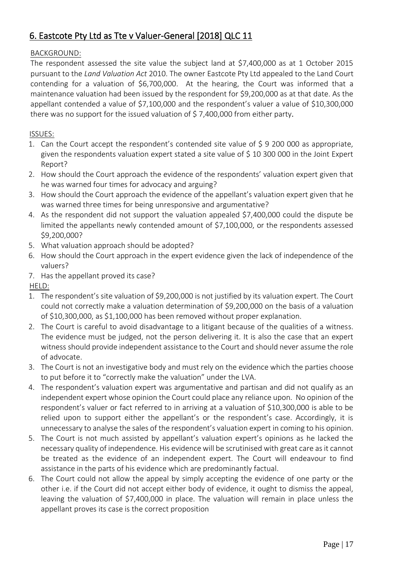### <span id="page-16-0"></span>6. Eastcote Pty Ltd as Tte v Valuer-General [2018] QLC 11

### BACKGROUND:

The respondent assessed the site value the subject land at \$7,400,000 as at 1 October 2015 pursuant to the *Land Valuation Act* 2010. The owner Eastcote Pty Ltd appealed to the Land Court contending for a valuation of \$6,700,000. At the hearing, the Court was informed that a maintenance valuation had been issued by the respondent for \$9,200,000 as at that date. As the appellant contended a value of \$7,100,000 and the respondent's valuer a value of \$10,300,000 there was no support for the issued valuation of  $\frac{2}{7}$ , 400,000 from either party.

### ISSUES:

- 1. Can the Court accept the respondent's contended site value of  $\frac{2}{5}$  9 200 000 as appropriate, given the respondents valuation expert stated a site value of \$ 10 300 000 in the Joint Expert Report?
- 2. How should the Court approach the evidence of the respondents' valuation expert given that he was warned four times for advocacy and arguing?
- 3. How should the Court approach the evidence of the appellant's valuation expert given that he was warned three times for being unresponsive and argumentative?
- 4. As the respondent did not support the valuation appealed \$7,400,000 could the dispute be limited the appellants newly contended amount of \$7,100,000, or the respondents assessed \$9,200,000?
- 5. What valuation approach should be adopted?
- 6. How should the Court approach in the expert evidence given the lack of independence of the valuers?
- 7. Has the appellant proved its case?
- HELD:
- 1. The respondent's site valuation of \$9,200,000 is not justified by its valuation expert. The Court could not correctly make a valuation determination of \$9,200,000 on the basis of a valuation of \$10,300,000, as \$1,100,000 has been removed without proper explanation.
- 2. The Court is careful to avoid disadvantage to a litigant because of the qualities of a witness. The evidence must be judged, not the person delivering it. It is also the case that an expert witness should provide independent assistance to the Court and should never assume the role of advocate.
- 3. The Court is not an investigative body and must rely on the evidence which the parties choose to put before it to "correctly make the valuation" under the LVA.
- 4. The respondent's valuation expert was argumentative and partisan and did not qualify as an independent expert whose opinion the Court could place any reliance upon. No opinion of the respondent's valuer or fact referred to in arriving at a valuation of \$10,300,000 is able to be relied upon to support either the appellant's or the respondent's case. Accordingly, it is unnecessary to analyse the sales of the respondent's valuation expert in coming to his opinion.
- 5. The Court is not much assisted by appellant's valuation expert's opinions as he lacked the necessary quality of independence. His evidence will be scrutinised with great care as it cannot be treated as the evidence of an independent expert. The Court will endeavour to find assistance in the parts of his evidence which are predominantly factual.
- 6. The Court could not allow the appeal by simply accepting the evidence of one party or the other i.e. if the Court did not accept either body of evidence, it ought to dismiss the appeal, leaving the valuation of \$7,400,000 in place. The valuation will remain in place unless the appellant proves its case is the correct proposition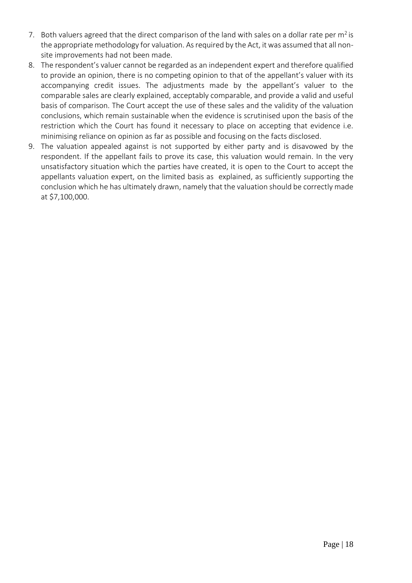- 7. Both valuers agreed that the direct comparison of the land with sales on a dollar rate per  $m^2$  is the appropriate methodology for valuation. As required by the Act, it was assumed that all nonsite improvements had not been made.
- 8. The respondent's valuer cannot be regarded as an independent expert and therefore qualified to provide an opinion, there is no competing opinion to that of the appellant's valuer with its accompanying credit issues. The adjustments made by the appellant's valuer to the comparable sales are clearly explained, acceptably comparable, and provide a valid and useful basis of comparison. The Court accept the use of these sales and the validity of the valuation conclusions, which remain sustainable when the evidence is scrutinised upon the basis of the restriction which the Court has found it necessary to place on accepting that evidence i.e. minimising reliance on opinion as far as possible and focusing on the facts disclosed.
- 9. The valuation appealed against is not supported by either party and is disavowed by the respondent. If the appellant fails to prove its case, this valuation would remain. In the very unsatisfactory situation which the parties have created, it is open to the Court to accept the appellants valuation expert, on the limited basis as explained, as sufficiently supporting the conclusion which he has ultimately drawn, namely that the valuation should be correctly made at \$7,100,000.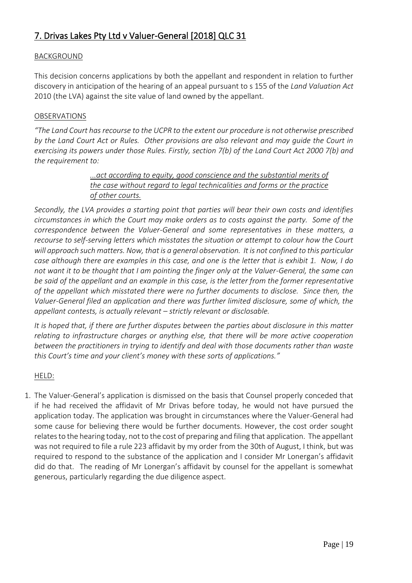## 7. Drivas Lakes Pty Ltd v Valuer-General [2018] QLC 31

### BACKGROUND

This decision concerns applications by both the appellant and respondent in relation to further discovery in anticipation of the hearing of an appeal pursuant to s 155 of the *Land Valuation Act* 2010 (the LVA) against the site value of land owned by the appellant.

### OBSERVATIONS

*"The Land Court has recourse to the UCPR to the extent our procedure is not otherwise prescribed by the Land Court Act or Rules. Other provisions are also relevant and may guide the Court in exercising its powers under those Rules. Firstly, section 7(b) of the Land Court Act 2000 7(b) and the requirement to:*

### *...act according to equity, good conscience and the substantial merits of the case without regard to legal technicalities and forms or the practice of other courts.*

*Secondly, the LVA provides a starting point that parties will bear their own costs and identifies circumstances in which the Court may make orders as to costs against the party. Some of the correspondence between the Valuer-General and some representatives in these matters, a recourse to self-serving letters which misstates the situation or attempt to colour how the Court will approach such matters. Now, that is a general observation. It is not confined to this particular case although there are examples in this case, and one is the letter that is exhibit 1. Now, I do not want it to be thought that I am pointing the finger only at the Valuer-General, the same can be said of the appellant and an example in this case, is the letter from the former representative of the appellant which misstated there were no further documents to disclose. Since then, the Valuer-General filed an application and there was further limited disclosure, some of which, the appellant contests, is actually relevant – strictly relevant or disclosable.*

*It is hoped that, if there are further disputes between the parties about disclosure in this matter relating to infrastructure charges or anything else, that there will be more active cooperation between the practitioners in trying to identify and deal with those documents rather than waste this Court's time and your client's money with these sorts of applications."*

### HELD:

1. The Valuer-General's application is dismissed on the basis that Counsel properly conceded that if he had received the affidavit of Mr Drivas before today, he would not have pursued the application today. The application was brought in circumstances where the Valuer-General had some cause for believing there would be further documents. However, the cost order sought relates to the hearing today, not to the cost of preparing and filing that application. The appellant was not required to file a rule 223 affidavit by my order from the 30th of August, I think, but was required to respond to the substance of the application and I consider Mr Lonergan's affidavit did do that. The reading of Mr Lonergan's affidavit by counsel for the appellant is somewhat generous, particularly regarding the due diligence aspect.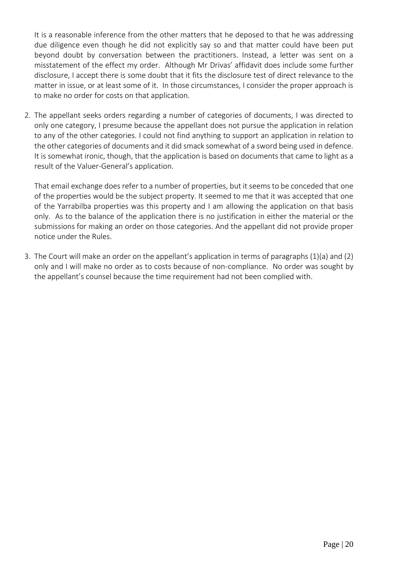It is a reasonable inference from the other matters that he deposed to that he was addressing due diligence even though he did not explicitly say so and that matter could have been put beyond doubt by conversation between the practitioners. Instead, a letter was sent on a misstatement of the effect my order. Although Mr Drivas' affidavit does include some further disclosure, I accept there is some doubt that it fits the disclosure test of direct relevance to the matter in issue, or at least some of it. In those circumstances, I consider the proper approach is to make no order for costs on that application.

2. The appellant seeks orders regarding a number of categories of documents, I was directed to only one category, I presume because the appellant does not pursue the application in relation to any of the other categories. I could not find anything to support an application in relation to the other categories of documents and it did smack somewhat of a sword being used in defence. It is somewhat ironic, though, that the application is based on documents that came to light as a result of the Valuer-General's application.

That email exchange does refer to a number of properties, but it seems to be conceded that one of the properties would be the subject property. It seemed to me that it was accepted that one of the Yarrabilba properties was this property and I am allowing the application on that basis only. As to the balance of the application there is no justification in either the material or the submissions for making an order on those categories. And the appellant did not provide proper notice under the Rules.

<span id="page-19-0"></span>3. The Court will make an order on the appellant's application in terms of paragraphs (1)(a) and (2) only and I will make no order as to costs because of non-compliance. No order was sought by the appellant's counsel because the time requirement had not been complied with.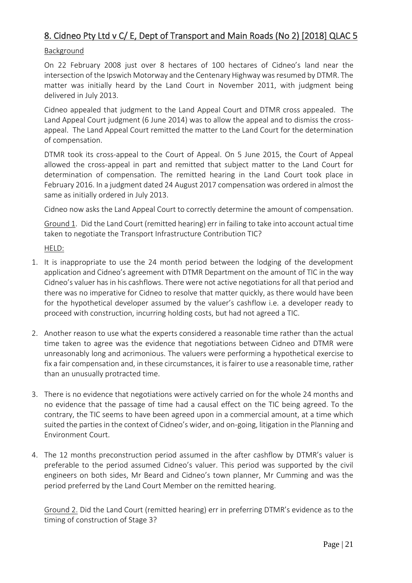### 8. Cidneo Pty Ltd v C/ E, Dept of Transport and Main Roads (No 2) [2018] QLAC 5

### **Background**

On 22 February 2008 just over 8 hectares of 100 hectares of Cidneo's land near the intersection of the Ipswich Motorway and the Centenary Highway was resumed by DTMR. The matter was initially heard by the Land Court in November 2011, with judgment being delivered in July 2013.

Cidneo appealed that judgment to the Land Appeal Court and DTMR cross appealed. The Land Appeal Court judgment (6 June 2014) was to allow the appeal and to dismiss the crossappeal. The Land Appeal Court remitted the matter to the Land Court for the determination of compensation.

DTMR took its cross-appeal to the Court of Appeal. On 5 June 2015, the Court of Appeal allowed the cross-appeal in part and remitted that subject matter to the Land Court for determination of compensation. The remitted hearing in the Land Court took place in February 2016. In a judgment dated 24 August 2017 compensation was ordered in almost the same as initially ordered in July 2013.

Cidneo now asks the Land Appeal Court to correctly determine the amount of compensation.

Ground 1. Did the Land Court (remitted hearing) err in failing to take into account actual time taken to negotiate the Transport Infrastructure Contribution TIC?

HELD:

- 1. It is inappropriate to use the 24 month period between the lodging of the development application and Cidneo's agreement with DTMR Department on the amount of TIC in the way Cidneo's valuer has in his cashflows. There were not active negotiations for all that period and there was no imperative for Cidneo to resolve that matter quickly, as there would have been for the hypothetical developer assumed by the valuer's cashflow i.e. a developer ready to proceed with construction, incurring holding costs, but had not agreed a TIC.
- 2. Another reason to use what the experts considered a reasonable time rather than the actual time taken to agree was the evidence that negotiations between Cidneo and DTMR were unreasonably long and acrimonious. The valuers were performing a hypothetical exercise to fix a fair compensation and, in these circumstances, it is fairer to use a reasonable time, rather than an unusually protracted time.
- 3. There is no evidence that negotiations were actively carried on for the whole 24 months and no evidence that the passage of time had a causal effect on the TIC being agreed. To the contrary, the TIC seems to have been agreed upon in a commercial amount, at a time which suited the parties in the context of Cidneo's wider, and on-going, litigation in the Planning and Environment Court.
- 4. The 12 months preconstruction period assumed in the after cashflow by DTMR's valuer is preferable to the period assumed Cidneo's valuer. This period was supported by the civil engineers on both sides, Mr Beard and Cidneo's town planner, Mr Cumming and was the period preferred by the Land Court Member on the remitted hearing.

Ground 2. Did the Land Court (remitted hearing) err in preferring DTMR's evidence as to the timing of construction of Stage 3?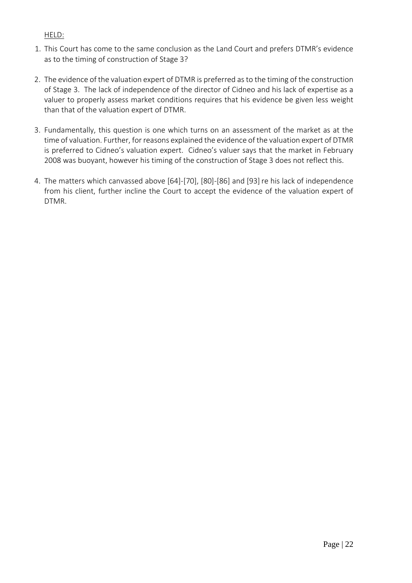HELD:

- 1. This Court has come to the same conclusion as the Land Court and prefers DTMR's evidence as to the timing of construction of Stage 3?
- 2. The evidence of the valuation expert of DTMR is preferred as to the timing of the construction of Stage 3. The lack of independence of the director of Cidneo and his lack of expertise as a valuer to properly assess market conditions requires that his evidence be given less weight than that of the valuation expert of DTMR.
- 3. Fundamentally, this question is one which turns on an assessment of the market as at the time of valuation. Further, for reasons explained the evidence of the valuation expert of DTMR is preferred to Cidneo's valuation expert. Cidneo's valuer says that the market in February 2008 was buoyant, however his timing of the construction of Stage 3 does not reflect this.
- 4. The matters which canvassed above [64]-[70], [80]-[86] and [93]re his lack of independence from his client, further incline the Court to accept the evidence of the valuation expert of DTMR.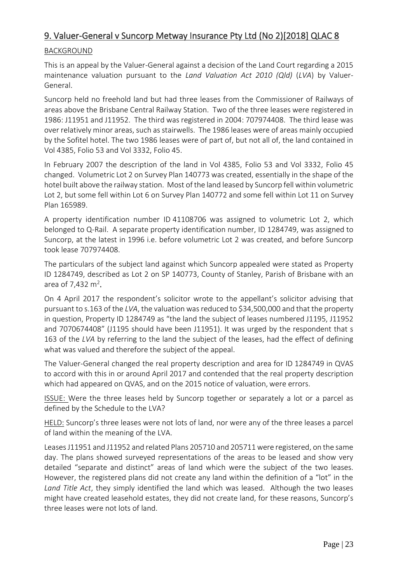### <span id="page-22-0"></span>9. Valuer-General v Suncorp Metway Insurance Pty Ltd (No 2)[2018] QLAC 8

### **BACKGROUND**

This is an appeal by the Valuer-General against a decision of the Land Court regarding a 2015 maintenance valuation pursuant to the *Land Valuation Act 2010 (Qld)* (*LVA*) by Valuer-General.

Suncorp held no freehold land but had three leases from the Commissioner of Railways of areas above the Brisbane Central Railway Station. Two of the three leases were registered in 1986: J11951 and J11952. The third was registered in 2004: 707974408. The third lease was over relatively minor areas, such as stairwells. The 1986 leases were of areas mainly occupied by the Sofitel hotel. The two 1986 leases were of part of, but not all of, the land contained in Vol 4385, Folio 53 and Vol 3332, Folio 45.

In February 2007 the description of the land in Vol 4385, Folio 53 and Vol 3332, Folio 45 changed. Volumetric Lot 2 on Survey Plan 140773 was created, essentially in the shape of the hotel built above the railway station. Most of the land leased by Suncorp fell within volumetric Lot 2, but some fell within Lot 6 on Survey Plan 140772 and some fell within Lot 11 on Survey Plan 165989.

A property identification number ID 41108706 was assigned to volumetric Lot 2, which belonged to Q-Rail. A separate property identification number, ID 1284749, was assigned to Suncorp, at the latest in 1996 i.e. before volumetric Lot 2 was created, and before Suncorp took lease 707974408.

The particulars of the subject land against which Suncorp appealed were stated as Property ID 1284749, described as Lot 2 on SP 140773, County of Stanley, Parish of Brisbane with an area of 7,432 m<sup>2</sup>.

On 4 April 2017 the respondent's solicitor wrote to the appellant's solicitor advising that pursuant to s.163 of the *LVA*, the valuation was reduced to \$34,500,000 and that the property in question, Property ID 1284749 as "the land the subject of leases numbered J1195, J11952 and 7070674408" (J1195 should have been J11951). It was urged by the respondent that s 163 of the *LVA* by referring to the land the subject of the leases, had the effect of defining what was valued and therefore the subject of the appeal.

The Valuer-General changed the real property description and area for ID 1284749 in QVAS to accord with this in or around April 2017 and contended that the real property description which had appeared on QVAS, and on the 2015 notice of valuation, were errors.

ISSUE: Were the three leases held by Suncorp together or separately a lot or a parcel as defined by the Schedule to the LVA?

HELD: Suncorp's three leases were not lots of land, nor were any of the three leases a parcel of land within the meaning of the LVA.

Leases J11951 and J11952 and related Plans 205710 and 205711 were registered, on the same day. The plans showed surveyed representations of the areas to be leased and show very detailed "separate and distinct" areas of land which were the subject of the two leases. However, the registered plans did not create any land within the definition of a "lot" in the *Land Title Act*, they simply identified the land which was leased. Although the two leases might have created leasehold estates, they did not create land, for these reasons, Suncorp's three leases were not lots of land.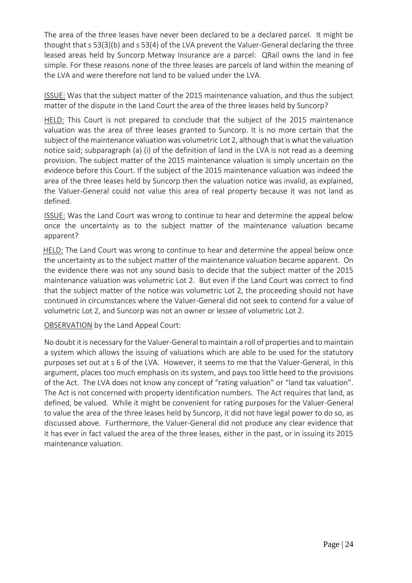The area of the three leases have never been declared to be a declared parcel. It might be thought that s 53(3)(b) and s 53(4) of the LVA prevent the Valuer-General declaring the three leased areas held by Suncorp Metway Insurance are a parcel: QRail owns the land in fee simple. For these reasons none of the three leases are parcels of land within the meaning of the LVA and were therefore not land to be valued under the LVA.

ISSUE: Was that the subject matter of the 2015 maintenance valuation, and thus the subject matter of the dispute in the Land Court the area of the three leases held by Suncorp?

HELD: This Court is not prepared to conclude that the subject of the 2015 maintenance valuation was the area of three leases granted to Suncorp. It is no more certain that the subject of the maintenance valuation was volumetric Lot 2, although that is what the valuation notice said; subparagraph (a) (i) of the definition of land in the LVA is not read as a deeming provision. The subject matter of the 2015 maintenance valuation is simply uncertain on the evidence before this Court. If the subject of the 2015 maintenance valuation was indeed the area of the three leases held by Suncorp then the valuation notice was invalid, as explained, the Valuer-General could not value this area of real property because it was not land as defined.

ISSUE: Was the Land Court was wrong to continue to hear and determine the appeal below once the uncertainty as to the subject matter of the maintenance valuation became apparent?

HELD: The Land Court was wrong to continue to hear and determine the appeal below once the uncertainty as to the subject matter of the maintenance valuation became apparent. On the evidence there was not any sound basis to decide that the subject matter of the 2015 maintenance valuation was volumetric Lot 2. But even if the Land Court was correct to find that the subject matter of the notice was volumetric Lot 2, the proceeding should not have continued in circumstances where the Valuer-General did not seek to contend for a value of volumetric Lot 2, and Suncorp was not an owner or lessee of volumetric Lot 2.

OBSERVATION by the Land Appeal Court:

No doubt it is necessary for the Valuer-General to maintain a roll of properties and to maintain a system which allows the issuing of valuations which are able to be used for the statutory purposes set out at s 6 of the LVA. However, it seems to me that the Valuer-General, in this argument, places too much emphasis on its system, and pays too little heed to the provisions of the Act. The LVA does not know any concept of "rating valuation" or "land tax valuation". The Act is not concerned with property identification numbers. The Act requires that land, as defined, be valued. While it might be convenient for rating purposes for the Valuer-General to value the area of the three leases held by Suncorp, it did not have legal power to do so, as discussed above. Furthermore, the Valuer-General did not produce any clear evidence that it has ever in fact valued the area of the three leases, either in the past, or in issuing its 2015 maintenance valuation.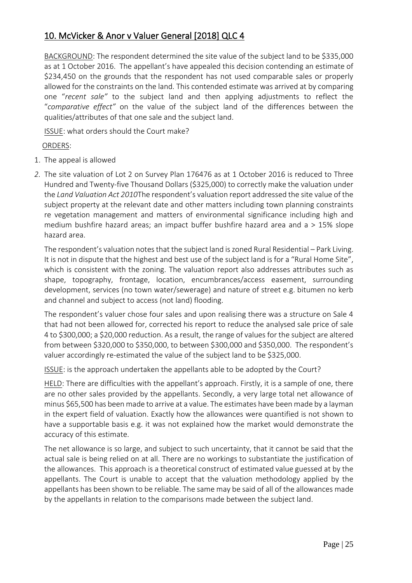### <span id="page-24-0"></span>10. McVicker & Anor v Valuer General [2018] QLC 4

BACKGROUND: The respondent determined the site value of the subject land to be \$335,000 as at 1 October 2016. The appellant's have appealed this decision contending an estimate of \$234,450 on the grounds that the respondent has not used comparable sales or properly allowed for the constraints on the land. This contended estimate was arrived at by comparing one "*recent sale"* to the subject land and then applying adjustments to reflect the "*comparative effect"* on the value of the subject land of the differences between the qualities/attributes of that one sale and the subject land.

ISSUE: what orders should the Court make?

### ORDERS:

- 1. The appeal is allowed
- *2.* The site valuation of Lot 2 on Survey Plan 176476 as at 1 October 2016 is reduced to Three Hundred and Twenty-five Thousand Dollars (\$325,000) to correctly make the valuation under the *Land Valuation Act 2010*The respondent's valuation report addressed the site value of the subject property at the relevant date and other matters including town planning constraints re vegetation management and matters of environmental significance including high and medium bushfire hazard areas; an impact buffer bushfire hazard area and a > 15% slope hazard area.

The respondent's valuation notes that the subject land is zoned Rural Residential – Park Living. It is not in dispute that the highest and best use of the subject land is for a "Rural Home Site", which is consistent with the zoning. The valuation report also addresses attributes such as shape, topography, frontage, location, encumbrances/access easement, surrounding development, services (no town water/sewerage) and nature of street e.g. bitumen no kerb and channel and subject to access (not land) flooding.

The respondent's valuer chose four sales and upon realising there was a structure on Sale 4 that had not been allowed for, corrected his report to reduce the analysed sale price of sale 4 to \$300,000; a \$20,000 reduction. As a result, the range of values for the subject are altered from between \$320,000 to \$350,000, to between \$300,000 and \$350,000. The respondent's valuer accordingly re-estimated the value of the subject land to be \$325,000.

ISSUE: is the approach undertaken the appellants able to be adopted by the Court?

HELD: There are difficulties with the appellant's approach. Firstly, it is a sample of one, there are no other sales provided by the appellants. Secondly, a very large total net allowance of minus \$65,500 has been made to arrive at a value. The estimates have been made by a layman in the expert field of valuation. Exactly how the allowances were quantified is not shown to have a supportable basis e.g. it was not explained how the market would demonstrate the accuracy of this estimate.

The net allowance is so large, and subject to such uncertainty, that it cannot be said that the actual sale is being relied on at all. There are no workings to substantiate the justification of the allowances. This approach is a theoretical construct of estimated value guessed at by the appellants. The Court is unable to accept that the valuation methodology applied by the appellants has been shown to be reliable. The same may be said of all of the allowances made by the appellants in relation to the comparisons made between the subject land.